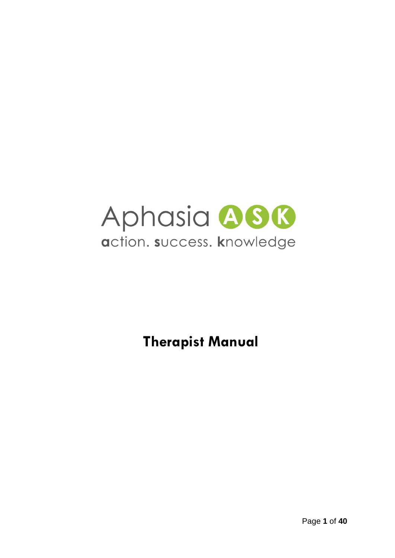

**Therapist Manual**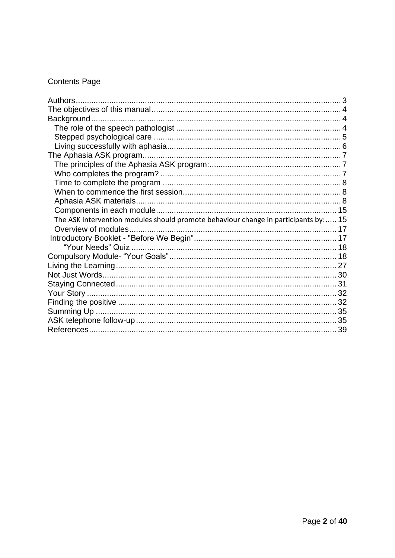# **Contents Page**

| The ASK intervention modules should promote behaviour change in participants by: 15 |  |
|-------------------------------------------------------------------------------------|--|
| Overview of modules                                                                 |  |
|                                                                                     |  |
|                                                                                     |  |
|                                                                                     |  |
|                                                                                     |  |
|                                                                                     |  |
|                                                                                     |  |
|                                                                                     |  |
|                                                                                     |  |
|                                                                                     |  |
|                                                                                     |  |
|                                                                                     |  |
|                                                                                     |  |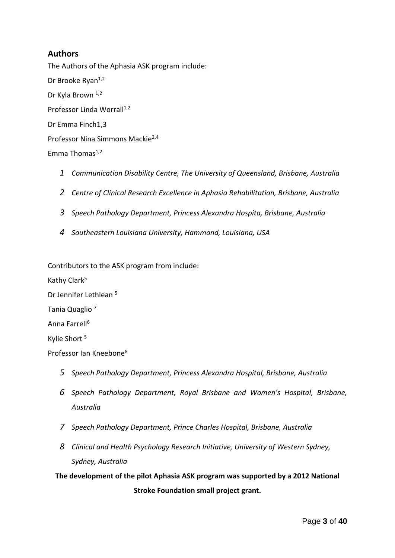## <span id="page-2-0"></span>**Authors**

The Authors of the Aphasia ASK program include: Dr Brooke Ryan<sup>1,2</sup> Dr Kyla Brown 1,2 Professor Linda Worrall<sup>1,2</sup> Dr Emma Finch1,3 Professor Nina Simmons Mackie2,4 Emma Thomas $1,2$ 

- *1 Communication Disability Centre, The University of Queensland, Brisbane, Australia*
- *2 Centre of Clinical Research Excellence in Aphasia Rehabilitation, Brisbane, Australia*
- *3 Speech Pathology Department, Princess Alexandra Hospita, Brisbane, Australia*
- *4 Southeastern Louisiana University, Hammond, Louisiana, USA*

Contributors to the ASK program from include:

Kathy Clark<sup>5</sup>

Dr Jennifer Lethlean <sup>5</sup>

Tania Quaglio <sup>7</sup>

Anna Farrell<sup>6</sup>

Kylie Short<sup>5</sup>

Professor Ian Kneebone<sup>8</sup>

- *5 Speech Pathology Department, Princess Alexandra Hospital, Brisbane, Australia*
- *6 Speech Pathology Department, Royal Brisbane and Women's Hospital, Brisbane, Australia*
- *7 Speech Pathology Department, Prince Charles Hospital, Brisbane, Australia*
- *8 Clinical and Health Psychology Research Initiative, University of Western Sydney, Sydney, Australia*

**The development of the pilot Aphasia ASK program was supported by a 2012 National Stroke Foundation small project grant.**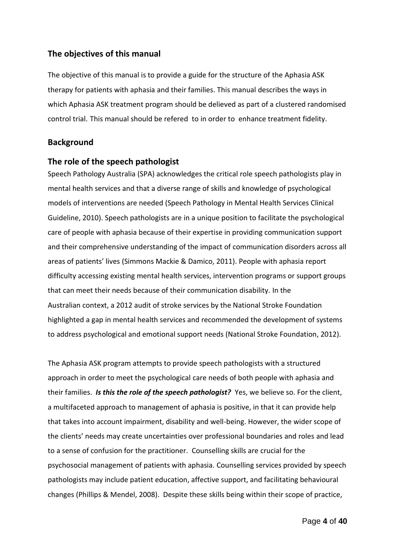## <span id="page-3-0"></span>**The objectives of this manual**

The objective of this manual is to provide a guide for the structure of the Aphasia ASK therapy for patients with aphasia and their families. This manual describes the ways in which Aphasia ASK treatment program should be delieved as part of a clustered randomised control trial. This manual should be refered to in order to enhance treatment fidelity.

### <span id="page-3-1"></span>**Background**

#### <span id="page-3-2"></span>**The role of the speech pathologist**

Speech Pathology Australia (SPA) acknowledges the critical role speech pathologists play in mental health services and that a diverse range of skills and knowledge of psychological models of interventions are needed (Speech Pathology in Mental Health Services Clinical Guideline, 2010). Speech pathologists are in a unique position to facilitate the psychological care of people with aphasia because of their expertise in providing communication support and their comprehensive understanding of the impact of communication disorders across all areas of patients' lives (Simmons Mackie & Damico, 2011). People with aphasia report difficulty accessing existing mental health services, intervention programs or support groups that can meet their needs because of their communication disability. In the Australian context, a 2012 audit of stroke services by the National Stroke Foundation highlighted a gap in mental health services and recommended the development of systems to address psychological and emotional support needs (National Stroke Foundation, 2012).

The Aphasia ASK program attempts to provide speech pathologists with a structured approach in order to meet the psychological care needs of both people with aphasia and their families. *Is this the role of the speech pathologist?* Yes, we believe so. For the client, a multifaceted approach to management of aphasia is positive, in that it can provide help that takes into account impairment, disability and well-being. However, the wider scope of the clients' needs may create uncertainties over professional boundaries and roles and lead to a sense of confusion for the practitioner. Counselling skills are crucial for the psychosocial management of patients with aphasia. Counselling services provided by speech pathologists may include patient education, affective support, and facilitating behavioural changes (Phillips & Mendel, 2008). Despite these skills being within their scope of practice,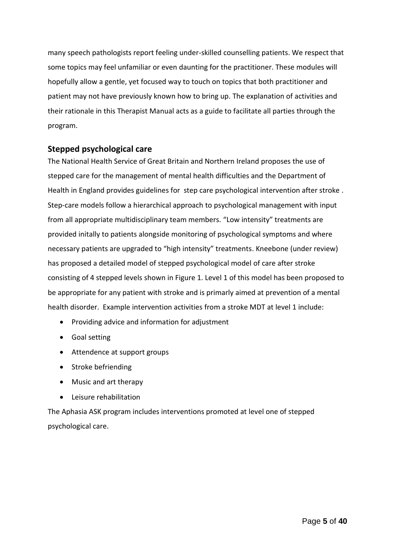many speech pathologists report feeling under-skilled counselling patients. We respect that some topics may feel unfamiliar or even daunting for the practitioner. These modules will hopefully allow a gentle, yet focused way to touch on topics that both practitioner and patient may not have previously known how to bring up. The explanation of activities and their rationale in this Therapist Manual acts as a guide to facilitate all parties through the program.

## <span id="page-4-0"></span>**Stepped psychological care**

The National Health Service of Great Britain and Northern Ireland proposes the use of stepped care for the management of mental health difficulties and the Department of Health in England provides guidelines for step care psychological intervention after stroke . Step-care models follow a hierarchical approach to psychological management with input from all appropriate multidisciplinary team members. "Low intensity" treatments are provided initally to patients alongside monitoring of psychological symptoms and where necessary patients are upgraded to "high intensity" treatments. Kneebone (under review) has proposed a detailed model of stepped psychological model of care after stroke consisting of 4 stepped levels shown in Figure 1. Level 1 of this model has been proposed to be appropriate for any patient with stroke and is primarly aimed at prevention of a mental health disorder. Example intervention activities from a stroke MDT at level 1 include:

- Providing advice and information for adjustment
- Goal setting
- Attendence at support groups
- Stroke befriending
- Music and art therapy
- Leisure rehabilitation

The Aphasia ASK program includes interventions promoted at level one of stepped psychological care.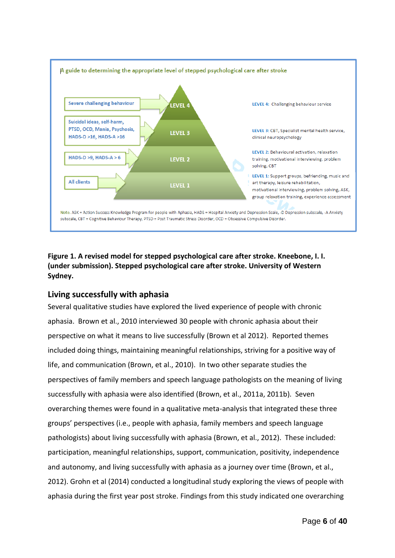

## **Figure 1. A revised model for stepped psychological care after stroke. Kneebone, I. I. (under submission). Stepped psychological care after stroke. University of Western Sydney.**

## <span id="page-5-0"></span>**Living successfully with aphasia**

Several qualitative studies have explored the lived experience of people with chronic aphasia. Brown et al., 2010 interviewed 30 people with chronic aphasia about their perspective on what it means to live successfully (Brown et al 2012). Reported themes included doing things, maintaining meaningful relationships, striving for a positive way of life, and communication (Brown, et al., 2010). In two other separate studies the perspectives of family members and speech language pathologists on the meaning of living successfully with aphasia were also identified (Brown, et al., 2011a, 2011b). Seven overarching themes were found in a qualitative meta-analysis that integrated these three groups' perspectives (i.e., people with aphasia, family members and speech language pathologists) about living successfully with aphasia (Brown, et al., 2012). These included: participation, meaningful relationships, support, communication, positivity, independence and autonomy, and living successfully with aphasia as a journey over time (Brown, et al., 2012). Grohn et al (2014) conducted a longitudinal study exploring the views of people with aphasia during the first year post stroke. Findings from this study indicated one overarching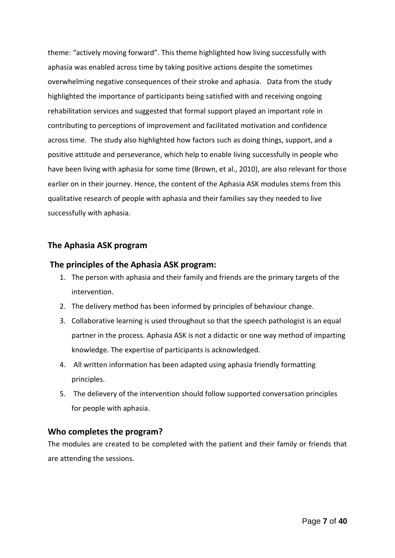theme: "actively moving forward". This theme highlighted how living successfully with aphasia was enabled across time by taking positive actions despite the sometimes overwhelming negative consequences of their stroke and aphasia. Data from the study highlighted the importance of participants being satisfied with and receiving ongoing rehabilitation services and suggested that formal support played an important role in contributing to perceptions of improvement and facilitated motivation and confidence across time. The study also highlighted how factors such as doing things, support, and a positive attitude and perseverance, which help to enable living successfully in people who have been living with aphasia for some time (Brown, et al., 2010), are also relevant for those earlier on in their journey. Hence, the content of the Aphasia ASK modules stems from this qualitative research of people with aphasia and their families say they needed to live successfully with aphasia.

## <span id="page-6-0"></span>**The Aphasia ASK program**

## <span id="page-6-1"></span>**The principles of the Aphasia ASK program:**

- 1. The person with aphasia and their family and friends are the primary targets of the intervention.
- 2. The delivery method has been informed by principles of behaviour change.
- 3. Collaborative learning is used throughout so that the speech pathologist is an equal partner in the process. Aphasia ASK is not a didactic or one way method of imparting knowledge. The expertise of participants is acknowledged.
- 4. All written information has been adapted using aphasia friendly formatting principles.
- 5. The delievery of the intervention should follow supported conversation principles for people with aphasia.

## <span id="page-6-2"></span>**Who completes the program?**

The modules are created to be completed with the patient and their family or friends that are attending the sessions.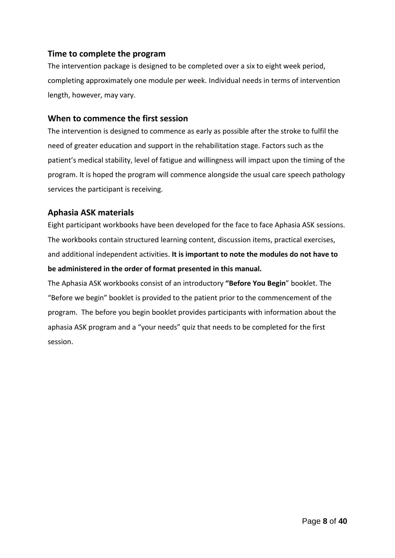## <span id="page-7-0"></span>**Time to complete the program**

The intervention package is designed to be completed over a six to eight week period, completing approximately one module per week. Individual needs in terms of intervention length, however, may vary.

## <span id="page-7-1"></span>**When to commence the first session**

The intervention is designed to commence as early as possible after the stroke to fulfil the need of greater education and support in the rehabilitation stage. Factors such as the patient's medical stability, level of fatigue and willingness will impact upon the timing of the program. It is hoped the program will commence alongside the usual care speech pathology services the participant is receiving.

## <span id="page-7-2"></span>**Aphasia ASK materials**

Eight participant workbooks have been developed for the face to face Aphasia ASK sessions. The workbooks contain structured learning content, discussion items, practical exercises, and additional independent activities. **It is important to note the modules do not have to be administered in the order of format presented in this manual.**

The Aphasia ASK workbooks consist of an introductory **"Before You Begin**" booklet. The "Before we begin" booklet is provided to the patient prior to the commencement of the program. The before you begin booklet provides participants with information about the aphasia ASK program and a "your needs" quiz that needs to be completed for the first session.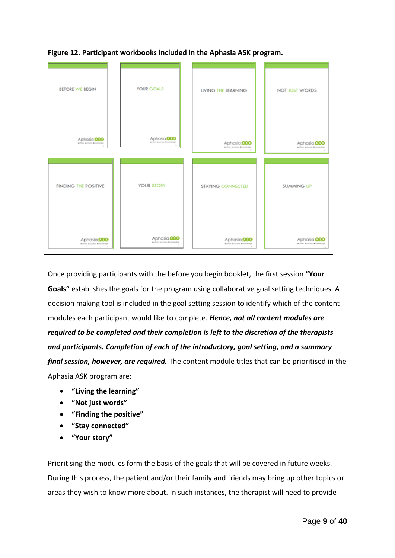

**Figure 12. Participant workbooks included in the Aphasia ASK program.**

Once providing participants with the before you begin booklet, the first session **"Your Goals"** establishes the goals for the program using collaborative goal setting techniques. A decision making tool is included in the goal setting session to identify which of the content modules each participant would like to complete. *Hence, not all content modules are required to be completed and their completion is left to the discretion of the therapists and participants. Completion of each of the introductory, goal setting, and a summary final session, however, are required.* The content module titles that can be prioritised in the Aphasia ASK program are:

- **"Living the learning"**
- **"Not just words"**
- **"Finding the positive"**
- **"Stay connected"**
- **"Your story"**

Prioritising the modules form the basis of the goals that will be covered in future weeks. During this process, the patient and/or their family and friends may bring up other topics or areas they wish to know more about. In such instances, the therapist will need to provide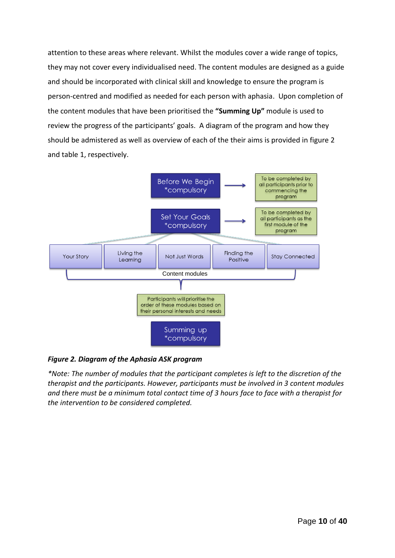attention to these areas where relevant. Whilst the modules cover a wide range of topics, they may not cover every individualised need. The content modules are designed as a guide and should be incorporated with clinical skill and knowledge to ensure the program is person-centred and modified as needed for each person with aphasia. Upon completion of the content modules that have been prioritised the **"Summing Up"** module is used to review the progress of the participants' goals. A diagram of the program and how they should be admistered as well as overview of each of the their aims is provided in figure 2 and table 1, respectively.



## *Figure 2. Diagram of the Aphasia ASK program*

*\*Note: The number of modules that the participant completes is left to the discretion of the therapist and the participants. However, participants must be involved in 3 content modules and there must be a minimum total contact time of 3 hours face to face with a therapist for the intervention to be considered completed.*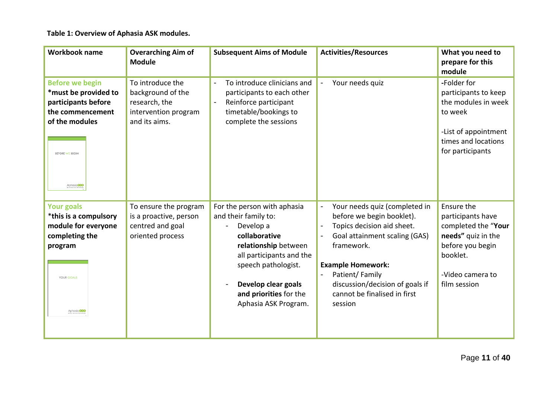**Table 1: Overview of Aphasia ASK modules.** 

| <b>Workbook name</b>                                                                                                                          | <b>Overarching Aim of</b><br><b>Module</b>                                                      | <b>Subsequent Aims of Module</b>                                                                                                                                                                                                      | <b>Activities/Resources</b>                                                                                                                                                                                                                                                                     | What you need to<br>prepare for this<br>module                                                                                                   |
|-----------------------------------------------------------------------------------------------------------------------------------------------|-------------------------------------------------------------------------------------------------|---------------------------------------------------------------------------------------------------------------------------------------------------------------------------------------------------------------------------------------|-------------------------------------------------------------------------------------------------------------------------------------------------------------------------------------------------------------------------------------------------------------------------------------------------|--------------------------------------------------------------------------------------------------------------------------------------------------|
| <b>Before we begin</b><br>*must be provided to<br>participants before<br>the commencement<br>of the modules<br>BEFORE WE BEGIN<br>Aphasia 000 | To introduce the<br>background of the<br>research, the<br>intervention program<br>and its aims. | To introduce clinicians and<br>participants to each other<br>Reinforce participant<br>timetable/bookings to<br>complete the sessions                                                                                                  | Your needs quiz<br>$\overline{\phantom{a}}$                                                                                                                                                                                                                                                     | -Folder for<br>participants to keep<br>the modules in week<br>to week<br>-List of appointment<br>times and locations<br>for participants         |
| <b>Your goals</b><br>*this is a compulsory<br>module for everyone<br>completing the<br>program<br><b>YOUR GOALS</b><br>Aphasia 000            | To ensure the program<br>is a proactive, person<br>centred and goal<br>oriented process         | For the person with aphasia<br>and their family to:<br>Develop a<br>collaborative<br>relationship between<br>all participants and the<br>speech pathologist.<br>Develop clear goals<br>and priorities for the<br>Aphasia ASK Program. | Your needs quiz (completed in<br>before we begin booklet).<br>Topics decision aid sheet.<br>$\overline{\phantom{0}}$<br>Goal attainment scaling (GAS)<br>framework.<br><b>Example Homework:</b><br>Patient/Family<br>discussion/decision of goals if<br>cannot be finalised in first<br>session | Ensure the<br>participants have<br>completed the "Your<br>needs" quiz in the<br>before you begin<br>booklet.<br>-Video camera to<br>film session |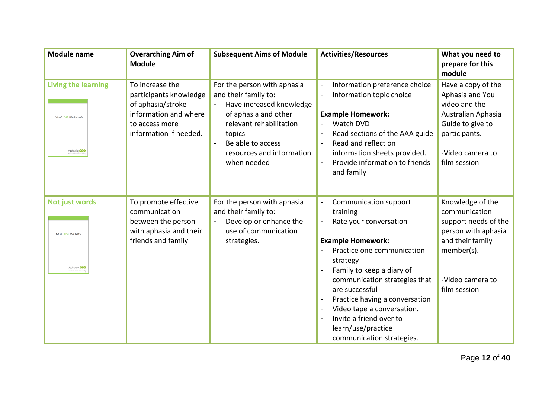| <b>Module name</b>                                               | <b>Overarching Aim of</b><br><b>Module</b>                                                                                          | <b>Subsequent Aims of Module</b>                                                                                                                                                                              | <b>Activities/Resources</b>                                                                                                                                                                                                                                                                                                                                                                      | What you need to<br>prepare for this<br>module                                                                                                         |
|------------------------------------------------------------------|-------------------------------------------------------------------------------------------------------------------------------------|---------------------------------------------------------------------------------------------------------------------------------------------------------------------------------------------------------------|--------------------------------------------------------------------------------------------------------------------------------------------------------------------------------------------------------------------------------------------------------------------------------------------------------------------------------------------------------------------------------------------------|--------------------------------------------------------------------------------------------------------------------------------------------------------|
| <b>Living the learning</b><br>LIVING THE LEARNING<br>Aphasia 000 | To increase the<br>participants knowledge<br>of aphasia/stroke<br>information and where<br>to access more<br>information if needed. | For the person with aphasia<br>and their family to:<br>Have increased knowledge<br>of aphasia and other<br>relevant rehabilitation<br>topics<br>Be able to access<br>resources and information<br>when needed | Information preference choice<br>Information topic choice<br>$\overline{\phantom{0}}$<br><b>Example Homework:</b><br>Watch DVD<br>Read sections of the AAA guide<br>Read and reflect on<br>information sheets provided.<br>Provide information to friends<br>$\overline{a}$<br>and family                                                                                                        | Have a copy of the<br>Aphasia and You<br>video and the<br>Australian Aphasia<br>Guide to give to<br>participants.<br>-Video camera to<br>film session  |
| <b>Not just words</b><br>NOT JUST WORDS<br>Aphasia 000           | To promote effective<br>communication<br>between the person<br>with aphasia and their<br>friends and family                         | For the person with aphasia<br>and their family to:<br>Develop or enhance the<br>use of communication<br>strategies.                                                                                          | Communication support<br>training<br>Rate your conversation<br><b>Example Homework:</b><br>Practice one communication<br>strategy<br>Family to keep a diary of<br>communication strategies that<br>are successful<br>Practice having a conversation<br>Video tape a conversation.<br>-<br>Invite a friend over to<br>$\overline{\phantom{a}}$<br>learn/use/practice<br>communication strategies. | Knowledge of the<br>communication<br>support needs of the<br>person with aphasia<br>and their family<br>member(s).<br>-Video camera to<br>film session |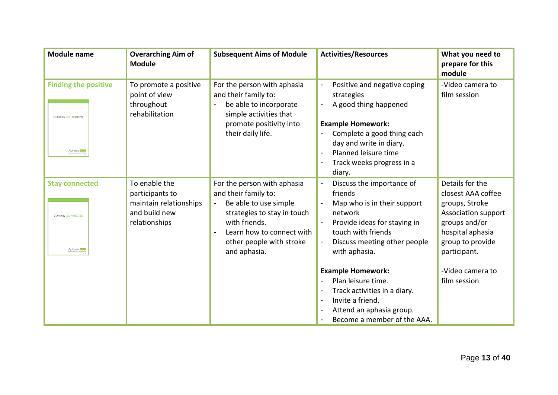| <b>Module name</b>                                                        | <b>Overarching Aim of</b><br><b>Module</b>                                                   | <b>Subsequent Aims of Module</b>                                                                                                                                                                      | <b>Activities/Resources</b>                                                                                                                                                                                                                                                                                                                                                                                                                        | What you need to<br>prepare for this<br>module                                                                                                                                              |
|---------------------------------------------------------------------------|----------------------------------------------------------------------------------------------|-------------------------------------------------------------------------------------------------------------------------------------------------------------------------------------------------------|----------------------------------------------------------------------------------------------------------------------------------------------------------------------------------------------------------------------------------------------------------------------------------------------------------------------------------------------------------------------------------------------------------------------------------------------------|---------------------------------------------------------------------------------------------------------------------------------------------------------------------------------------------|
| <b>Finding the positive</b><br><b>FINDING THE POSITIVE</b><br>Aphasia 000 | To promote a positive<br>point of view<br>throughout<br>rehabilitation                       | For the person with aphasia<br>and their family to:<br>be able to incorporate<br>simple activities that<br>promote positivity into<br>their daily life.                                               | Positive and negative coping<br>strategies<br>A good thing happened<br>$\overline{\phantom{0}}$<br><b>Example Homework:</b><br>Complete a good thing each<br>day and write in diary.<br>Planned leisure time<br>Track weeks progress in a<br>diary.                                                                                                                                                                                                | -Video camera to<br>film session                                                                                                                                                            |
| <b>Stay connected</b><br><b>STAYING CONNECTED</b><br>Aphasia 000          | To enable the<br>participants to<br>maintain relationships<br>and build new<br>relationships | For the person with aphasia<br>and their family to:<br>Be able to use simple<br>strategies to stay in touch<br>with friends.<br>Learn how to connect with<br>other people with stroke<br>and aphasia. | Discuss the importance of<br>$\overline{\phantom{a}}$<br>friends<br>Map who is in their support<br>network<br>Provide ideas for staying in<br>$\overline{\phantom{a}}$<br>touch with friends<br>Discuss meeting other people<br>$\blacksquare$<br>with aphasia.<br><b>Example Homework:</b><br>Plan leisure time.<br>Track activities in a diary.<br>Invite a friend.<br>$\blacksquare$<br>Attend an aphasia group.<br>Become a member of the AAA. | Details for the<br>closest AAA coffee<br>groups, Stroke<br>Association support<br>groups and/or<br>hospital aphasia<br>group to provide<br>participant.<br>-Video camera to<br>film session |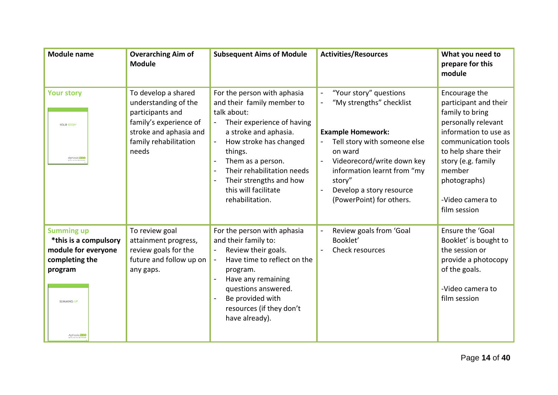| <b>Module name</b>                                                                                                                 | <b>Overarching Aim of</b><br><b>Module</b>                                                                                                            | <b>Subsequent Aims of Module</b>                                                                                                                                                                                                                                                              | <b>Activities/Resources</b>                                                                                                                                                                                                                                                | What you need to<br>prepare for this<br>module                                                                                                                                                                                              |
|------------------------------------------------------------------------------------------------------------------------------------|-------------------------------------------------------------------------------------------------------------------------------------------------------|-----------------------------------------------------------------------------------------------------------------------------------------------------------------------------------------------------------------------------------------------------------------------------------------------|----------------------------------------------------------------------------------------------------------------------------------------------------------------------------------------------------------------------------------------------------------------------------|---------------------------------------------------------------------------------------------------------------------------------------------------------------------------------------------------------------------------------------------|
| <b>Your story</b><br><b>YOUR STORY</b><br>Aphasia 000                                                                              | To develop a shared<br>understanding of the<br>participants and<br>family's experience of<br>stroke and aphasia and<br>family rehabilitation<br>needs | For the person with aphasia<br>and their family member to<br>talk about:<br>Their experience of having<br>a stroke and aphasia.<br>How stroke has changed<br>things.<br>Them as a person.<br>Their rehabilitation needs<br>Their strengths and how<br>this will facilitate<br>rehabilitation. | "Your story" questions<br>"My strengths" checklist<br><b>Example Homework:</b><br>Tell story with someone else<br>on ward<br>Videorecord/write down key<br>information learnt from "my<br>story"<br>Develop a story resource<br>$\blacksquare$<br>(PowerPoint) for others. | Encourage the<br>participant and their<br>family to bring<br>personally relevant<br>information to use as<br>communication tools<br>to help share their<br>story (e.g. family<br>member<br>photographs)<br>-Video camera to<br>film session |
| <b>Summing up</b><br>*this is a compulsory<br>module for everyone<br>completing the<br>program<br><b>SUMMING UP</b><br>Aphasia 000 | To review goal<br>attainment progress,<br>review goals for the<br>future and follow up on<br>any gaps.                                                | For the person with aphasia<br>and their family to:<br>Review their goals.<br>Have time to reflect on the<br>program.<br>Have any remaining<br>questions answered.<br>Be provided with<br>resources (if they don't<br>have already).                                                          | Review goals from 'Goal<br>Booklet'<br>Check resources                                                                                                                                                                                                                     | Ensure the 'Goal<br>Booklet' is bought to<br>the session or<br>provide a photocopy<br>of the goals.<br>-Video camera to<br>film session                                                                                                     |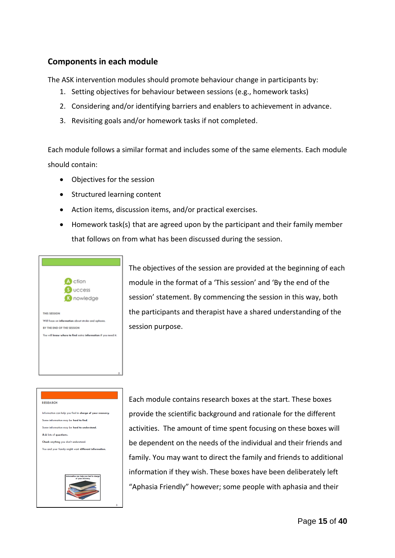## <span id="page-14-0"></span>**Components in each module**

<span id="page-14-1"></span>The ASK intervention modules should promote behaviour change in participants by:

- 1. Setting objectives for behaviour between sessions (e.g., homework tasks)
- 2. Considering and/or identifying barriers and enablers to achievement in advance.
- 3. Revisiting goals and/or homework tasks if not completed.

Each module follows a similar format and includes some of the same elements. Each module should contain:

- Objectives for the session
- Structured learning content
- Action items, discussion items, and/or practical exercises.
- Homework task(s) that are agreed upon by the participant and their family member that follows on from what has been discussed during the session.



The objectives of the session are provided at the beginning of each module in the format of a 'This session' and 'By the end of the session' statement. By commencing the session in this way, both the participants and therapist have a shared understanding of the session purpose.

#### RESEARCH

Information can help you feel in charge of your recovery. Some information may be hard to find. Some information may be hard to understand. Ask lots of questions Check anything you don't understand. You and your family might want different information.



Each module contains research boxes at the start. These boxes provide the scientific background and rationale for the different activities. The amount of time spent focusing on these boxes will be dependent on the needs of the individual and their friends and family. You may want to direct the family and friends to additional information if they wish. These boxes have been deliberately left "Aphasia Friendly" however; some people with aphasia and their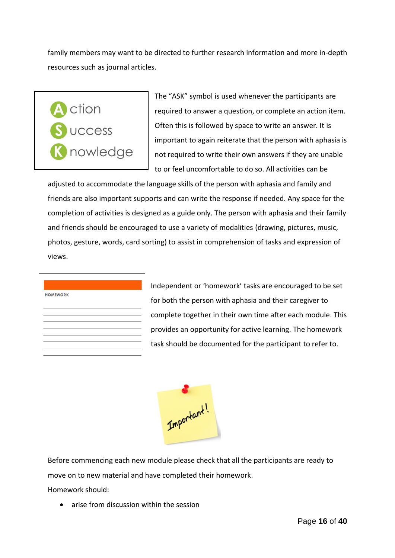family members may want to be directed to further research information and more in-depth resources such as journal articles.



The "ASK" symbol is used whenever the participants are required to answer a question, or complete an action item. Often this is followed by space to write an answer. It is important to again reiterate that the person with aphasia is not required to write their own answers if they are unable to or feel uncomfortable to do so. All activities can be

adjusted to accommodate the language skills of the person with aphasia and family and friends are also important supports and can write the response if needed. Any space for the completion of activities is designed as a guide only. The person with aphasia and their family and friends should be encouraged to use a variety of modalities (drawing, pictures, music, photos, gesture, words, card sorting) to assist in comprehension of tasks and expression of views.

#### **HOMEWORK**

Independent or 'homework' tasks are encouraged to be set for both the person with aphasia and their caregiver to complete together in their own time after each module. This provides an opportunity for active learning. The homework task should be documented for the participant to refer to.



Before commencing each new module please check that all the participants are ready to move on to new material and have completed their homework.

Homework should:

• arise from discussion within the session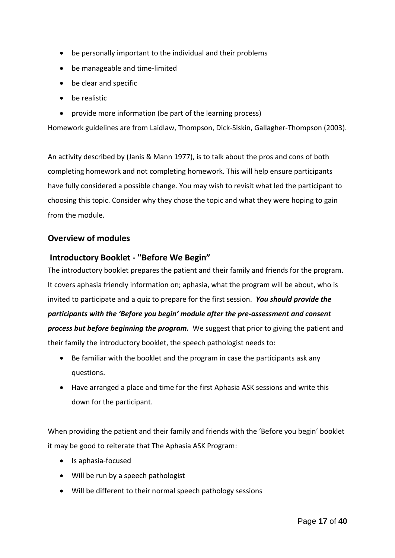- be personally important to the individual and their problems
- be manageable and time-limited
- be clear and specific
- be realistic
- provide more information (be part of the learning process)

Homework guidelines are from Laidlaw, Thompson, Dick-Siskin, Gallagher-Thompson (2003).

An activity described by (Janis & Mann 1977), is to talk about the pros and cons of both completing homework and not completing homework. This will help ensure participants have fully considered a possible change. You may wish to revisit what led the participant to choosing this topic. Consider why they chose the topic and what they were hoping to gain from the module.

## <span id="page-16-0"></span>**Overview of modules**

## <span id="page-16-1"></span>**Introductory Booklet - "Before We Begin"**

The introductory booklet prepares the patient and their family and friends for the program. It covers aphasia friendly information on; aphasia, what the program will be about, who is invited to participate and a quiz to prepare for the first session. *You should provide the participants with the 'Before you begin' module after the pre-assessment and consent process but before beginning the program.* We suggest that prior to giving the patient and their family the introductory booklet, the speech pathologist needs to:

- Be familiar with the booklet and the program in case the participants ask any questions.
- Have arranged a place and time for the first Aphasia ASK sessions and write this down for the participant.

When providing the patient and their family and friends with the 'Before you begin' booklet it may be good to reiterate that The Aphasia ASK Program:

- Is aphasia-focused
- Will be run by a speech pathologist
- Will be different to their normal speech pathology sessions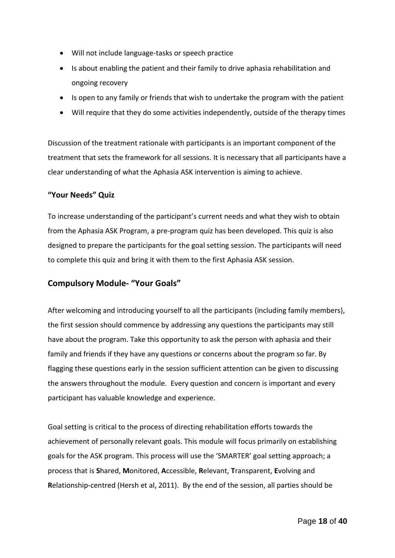- Will not include language-tasks or speech practice
- Is about enabling the patient and their family to drive aphasia rehabilitation and ongoing recovery
- Is open to any family or friends that wish to undertake the program with the patient
- Will require that they do some activities independently, outside of the therapy times

Discussion of the treatment rationale with participants is an important component of the treatment that sets the framework for all sessions. It is necessary that all participants have a clear understanding of what the Aphasia ASK intervention is aiming to achieve.

## <span id="page-17-0"></span>**"Your Needs" Quiz**

To increase understanding of the participant's current needs and what they wish to obtain from the Aphasia ASK Program, a pre-program quiz has been developed. This quiz is also designed to prepare the participants for the goal setting session. The participants will need to complete this quiz and bring it with them to the first Aphasia ASK session.

## <span id="page-17-1"></span>**Compulsory Module- "Your Goals"**

After welcoming and introducing yourself to all the participants (including family members), the first session should commence by addressing any questions the participants may still have about the program. Take this opportunity to ask the person with aphasia and their family and friends if they have any questions or concerns about the program so far. By flagging these questions early in the session sufficient attention can be given to discussing the answers throughout the module. Every question and concern is important and every participant has valuable knowledge and experience.

Goal setting is critical to the process of directing rehabilitation efforts towards the achievement of personally relevant goals. This module will focus primarily on establishing goals for the ASK program. This process will use the 'SMARTER' goal setting approach; a process that is **S**hared, **M**onitored, **A**ccessible, **R**elevant, **T**ransparent, **E**volving and **R**elationship-centred (Hersh et al, 2011). By the end of the session, all parties should be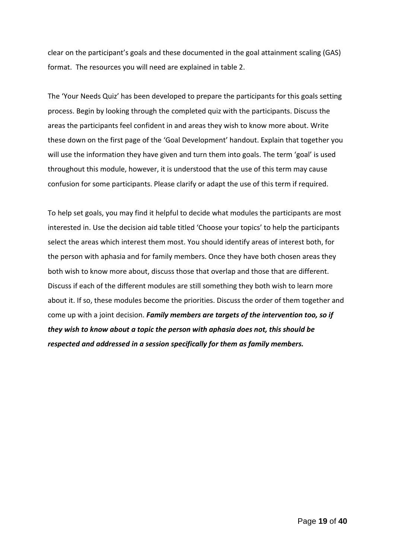clear on the participant's goals and these documented in the goal attainment scaling (GAS) format. The resources you will need are explained in table 2.

The 'Your Needs Quiz' has been developed to prepare the participants for this goals setting process. Begin by looking through the completed quiz with the participants. Discuss the areas the participants feel confident in and areas they wish to know more about. Write these down on the first page of the 'Goal Development' handout. Explain that together you will use the information they have given and turn them into goals. The term 'goal' is used throughout this module, however, it is understood that the use of this term may cause confusion for some participants. Please clarify or adapt the use of this term if required.

To help set goals, you may find it helpful to decide what modules the participants are most interested in. Use the decision aid table titled 'Choose your topics' to help the participants select the areas which interest them most. You should identify areas of interest both, for the person with aphasia and for family members. Once they have both chosen areas they both wish to know more about, discuss those that overlap and those that are different. Discuss if each of the different modules are still something they both wish to learn more about it. If so, these modules become the priorities. Discuss the order of them together and come up with a joint decision. *Family members are targets of the intervention too, so if they wish to know about a topic the person with aphasia does not, this should be respected and addressed in a session specifically for them as family members.*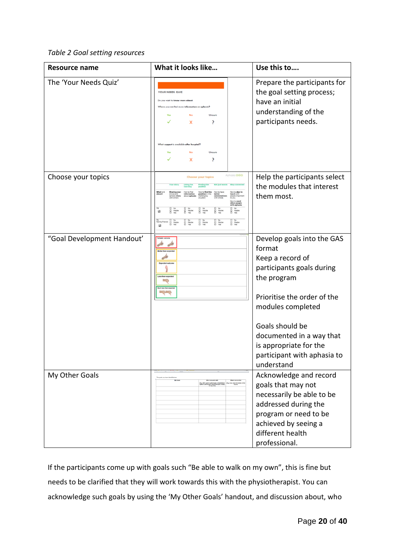## *Table 2 Goal setting resources*

| <b>Resource name</b>       | What it looks like                                                                                                                                                                                                                                                                                                                                                                                                                                                                                                                                                                                                                | Use this to                                                                                                                                                                                                                                                                    |
|----------------------------|-----------------------------------------------------------------------------------------------------------------------------------------------------------------------------------------------------------------------------------------------------------------------------------------------------------------------------------------------------------------------------------------------------------------------------------------------------------------------------------------------------------------------------------------------------------------------------------------------------------------------------------|--------------------------------------------------------------------------------------------------------------------------------------------------------------------------------------------------------------------------------------------------------------------------------|
| The 'Your Needs Quiz'      | YOUR NEEDS QUIZ<br>Do you want to know more abou<br>Unsure<br>x<br>?<br>What support is available ofter h<br>Unsure<br>x<br>?                                                                                                                                                                                                                                                                                                                                                                                                                                                                                                     | Prepare the participants for<br>the goal setting process;<br>have an initial<br>understanding of the<br>participants needs.                                                                                                                                                    |
| Choose your topics         | Aphasia 000<br><b>Choose your topics</b><br>$\begin{array}{ll} \square & \mathsf{No} \\ \square & \mathsf{Maybe} \\ \square & \mathsf{Yes} \end{array}$<br>$\frac{\square}{\square}$ Naybe<br>ĕ<br>E Maybe<br>Maybe<br>Yac<br>Naybe<br>Yac<br>ø<br>$\begin{array}{ll}\n\Box & \text{No} \\ \Box & \text{Maybe} \\ \Box & \text{Vas}\n\end{array}$<br>$\begin{array}{ll} \square & \mathsf{No} \\ \square & \mathsf{Map} \\ \top & \mathsf{Yes} \end{array}$<br>$\begin{array}{cc}\n\Box & \text{No} \\ \Box & \text{New} \\ \Box & \text{Yes}\n\end{array}$<br>El No<br>El Maybe<br>My El No<br>Family/friends El Naybe<br>El Yas | Help the participants select<br>the modules that interest<br>them most.                                                                                                                                                                                                        |
| "Goal Development Handout' | Less than expected                                                                                                                                                                                                                                                                                                                                                                                                                                                                                                                                                                                                                | Develop goals into the GAS<br>format<br>Keep a record of<br>participants goals during<br>the program<br>Prioritise the order of the<br>modules completed<br>Goals should be<br>documented in a way that<br>is appropriate for the<br>participant with aphasia to<br>understand |
| My Other Goals             |                                                                                                                                                                                                                                                                                                                                                                                                                                                                                                                                                                                                                                   | Acknowledge and record<br>goals that may not<br>necessarily be able to be<br>addressed during the<br>program or need to be<br>achieved by seeing a<br>different health<br>professional.                                                                                        |

If the participants come up with goals such "Be able to walk on my own", this is fine but needs to be clarified that they will work towards this with the physiotherapist. You can acknowledge such goals by using the 'My Other Goals' handout, and discussion about, who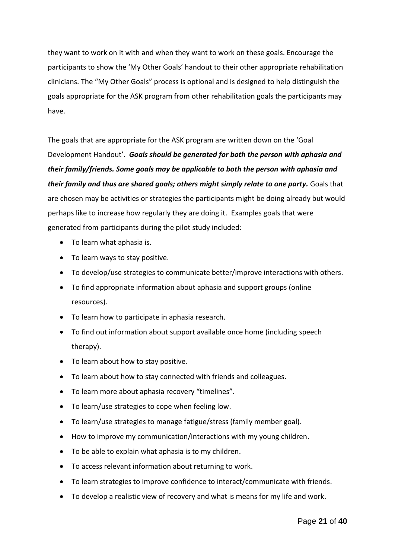they want to work on it with and when they want to work on these goals. Encourage the participants to show the 'My Other Goals' handout to their other appropriate rehabilitation clinicians. The "My Other Goals" process is optional and is designed to help distinguish the goals appropriate for the ASK program from other rehabilitation goals the participants may have.

The goals that are appropriate for the ASK program are written down on the 'Goal Development Handout'. *Goals should be generated for both the person with aphasia and their family/friends. Some goals may be applicable to both the person with aphasia and their family and thus are shared goals; others might simply relate to one party.* Goals that are chosen may be activities or strategies the participants might be doing already but would perhaps like to increase how regularly they are doing it. Examples goals that were generated from participants during the pilot study included:

- To learn what aphasia is.
- To learn ways to stay positive.
- To develop/use strategies to communicate better/improve interactions with others.
- To find appropriate information about aphasia and support groups (online resources).
- To learn how to participate in aphasia research.
- To find out information about support available once home (including speech therapy).
- To learn about how to stay positive.
- To learn about how to stay connected with friends and colleagues.
- To learn more about aphasia recovery "timelines".
- To learn/use strategies to cope when feeling low.
- To learn/use strategies to manage fatigue/stress (family member goal).
- How to improve my communication/interactions with my young children.
- To be able to explain what aphasia is to my children.
- To access relevant information about returning to work.
- To learn strategies to improve confidence to interact/communicate with friends.
- To develop a realistic view of recovery and what is means for my life and work.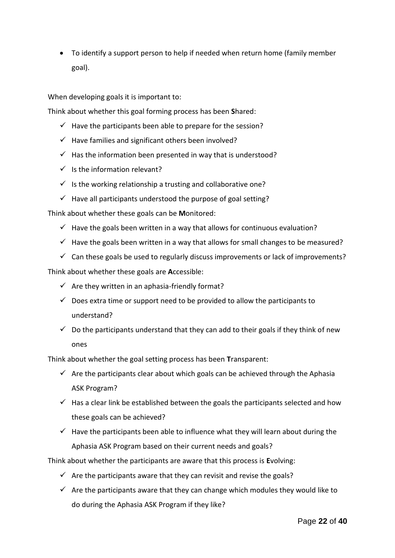• To identify a support person to help if needed when return home (family member goal).

When developing goals it is important to:

Think about whether this goal forming process has been **S**hared:

- $\checkmark$  Have the participants been able to prepare for the session?
- $\checkmark$  Have families and significant others been involved?
- $\checkmark$  Has the information been presented in way that is understood?
- $\checkmark$  Is the information relevant?
- $\checkmark$  Is the working relationship a trusting and collaborative one?
- $\checkmark$  Have all participants understood the purpose of goal setting?

Think about whether these goals can be **M**onitored:

- $\checkmark$  Have the goals been written in a way that allows for continuous evaluation?
- $\checkmark$  Have the goals been written in a way that allows for small changes to be measured?
- $\checkmark$  Can these goals be used to regularly discuss improvements or lack of improvements?

Think about whether these goals are **A**ccessible:

- $\checkmark$  Are they written in an aphasia-friendly format?
- $\checkmark$  Does extra time or support need to be provided to allow the participants to understand?
- $\checkmark$  Do the participants understand that they can add to their goals if they think of new ones

Think about whether the goal setting process has been **T**ransparent:

- $\checkmark$  Are the participants clear about which goals can be achieved through the Aphasia ASK Program?
- $\checkmark$  Has a clear link be established between the goals the participants selected and how these goals can be achieved?
- $\checkmark$  Have the participants been able to influence what they will learn about during the Aphasia ASK Program based on their current needs and goals?

Think about whether the participants are aware that this process is **E**volving:

- $\checkmark$  Are the participants aware that they can revisit and revise the goals?
- $\checkmark$  Are the participants aware that they can change which modules they would like to do during the Aphasia ASK Program if they like?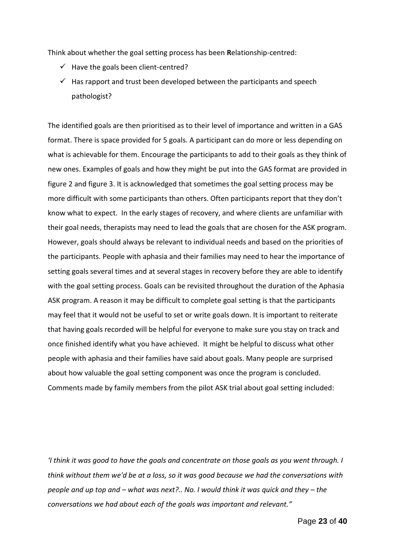Think about whether the goal setting process has been **R**elationship-centred:

- $\checkmark$  Have the goals been client-centred?
- $\checkmark$  Has rapport and trust been developed between the participants and speech pathologist?

The identified goals are then prioritised as to their level of importance and written in a GAS format. There is space provided for 5 goals. A participant can do more or less depending on what is achievable for them. Encourage the participants to add to their goals as they think of new ones. Examples of goals and how they might be put into the GAS format are provided in figure 2 and figure 3. It is acknowledged that sometimes the goal setting process may be more difficult with some participants than others. Often participants report that they don't know what to expect. In the early stages of recovery, and where clients are unfamiliar with their goal needs, therapists may need to lead the goals that are chosen for the ASK program. However, goals should always be relevant to individual needs and based on the priorities of the participants. People with aphasia and their families may need to hear the importance of setting goals several times and at several stages in recovery before they are able to identify with the goal setting process. Goals can be revisited throughout the duration of the Aphasia ASK program. A reason it may be difficult to complete goal setting is that the participants may feel that it would not be useful to set or write goals down. It is important to reiterate that having goals recorded will be helpful for everyone to make sure you stay on track and once finished identify what you have achieved. It might be helpful to discuss what other people with aphasia and their families have said about goals. Many people are surprised about how valuable the goal setting component was once the program is concluded. Comments made by family members from the pilot ASK trial about goal setting included:

*'I think it was good to have the goals and concentrate on those goals as you went through. I think without them we'd be at a loss, so it was good because we had the conversations with people and up top and – what was next?.. No. I would think it was quick and they – the conversations we had about each of the goals was important and relevant."*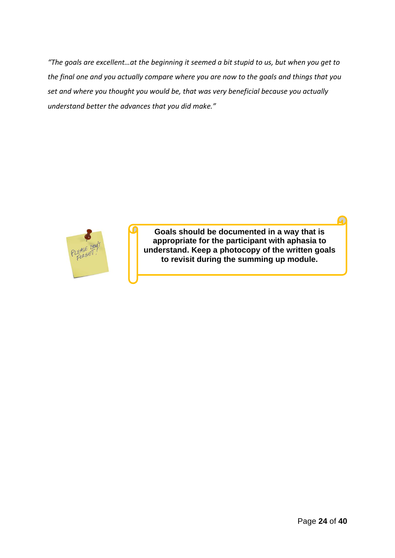*"The goals are excellent…at the beginning it seemed a bit stupid to us, but when you get to the final one and you actually compare where you are now to the goals and things that you set and where you thought you would be, that was very beneficial because you actually understand better the advances that you did make."* 



**Goals should be documented in a way that is appropriate for the participant with aphasia to understand. Keep a photocopy of the written goals to revisit during the summing up module.**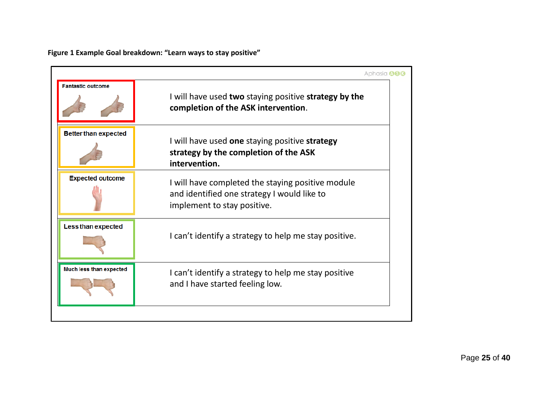**Figure 1 Example Goal breakdown: "Learn ways to stay positive"**

|                             | Aphasia <b>A66</b>                                                                                                              |
|-----------------------------|---------------------------------------------------------------------------------------------------------------------------------|
| <b>Fantastic outcome</b>    | I will have used two staying positive strategy by the<br>completion of the ASK intervention.                                    |
| <b>Better than expected</b> | I will have used one staying positive strategy<br>strategy by the completion of the ASK<br>intervention.                        |
| <b>Expected outcome</b>     | I will have completed the staying positive module<br>and identified one strategy I would like to<br>implement to stay positive. |
| <b>Less than expected</b>   | I can't identify a strategy to help me stay positive.                                                                           |
| Much less than expected     | I can't identify a strategy to help me stay positive<br>and I have started feeling low.                                         |
|                             |                                                                                                                                 |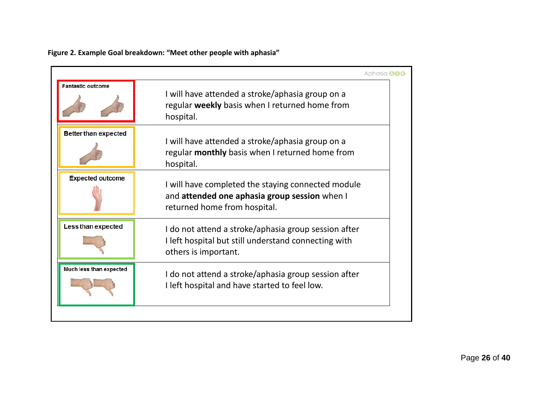|                                | Aphasia <b>A66</b>                                                                                                                   |
|--------------------------------|--------------------------------------------------------------------------------------------------------------------------------------|
| <b>Fantastic outcome</b>       | I will have attended a stroke/aphasia group on a<br>regular weekly basis when I returned home from<br>hospital.                      |
| <b>Better than expected</b>    | I will have attended a stroke/aphasia group on a<br>regular <b>monthly</b> basis when I returned home from<br>hospital.              |
| <b>Expected outcome</b>        | I will have completed the staying connected module<br>and attended one aphasia group session when I<br>returned home from hospital.  |
| <b>Less than expected</b>      | I do not attend a stroke/aphasia group session after<br>I left hospital but still understand connecting with<br>others is important. |
| <b>Much less than expected</b> | I do not attend a stroke/aphasia group session after<br>I left hospital and have started to feel low.                                |
|                                |                                                                                                                                      |

**Figure 2. Example Goal breakdown: "Meet other people with aphasia"**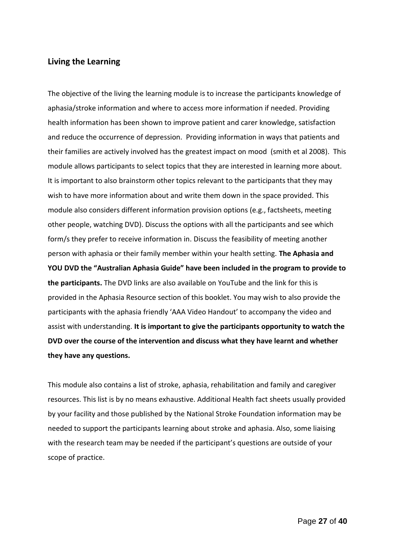## <span id="page-26-0"></span>**Living the Learning**

The objective of the living the learning module is to increase the participants knowledge of aphasia/stroke information and where to access more information if needed. Providing health information has been shown to improve patient and carer knowledge, satisfaction and reduce the occurrence of depression. Providing information in ways that patients and their families are actively involved has the greatest impact on mood (smith et al 2008). This module allows participants to select topics that they are interested in learning more about. It is important to also brainstorm other topics relevant to the participants that they may wish to have more information about and write them down in the space provided. This module also considers different information provision options (e.g., factsheets, meeting other people, watching DVD). Discuss the options with all the participants and see which form/s they prefer to receive information in. Discuss the feasibility of meeting another person with aphasia or their family member within your health setting. **The Aphasia and YOU DVD the "Australian Aphasia Guide" have been included in the program to provide to the participants.** The DVD links are also available on YouTube and the link for this is provided in the Aphasia Resource section of this booklet. You may wish to also provide the participants with the aphasia friendly 'AAA Video Handout' to accompany the video and assist with understanding. **It is important to give the participants opportunity to watch the DVD over the course of the intervention and discuss what they have learnt and whether they have any questions.** 

This module also contains a list of stroke, aphasia, rehabilitation and family and caregiver resources. This list is by no means exhaustive. Additional Health fact sheets usually provided by your facility and those published by the National Stroke Foundation information may be needed to support the participants learning about stroke and aphasia. Also, some liaising with the research team may be needed if the participant's questions are outside of your scope of practice.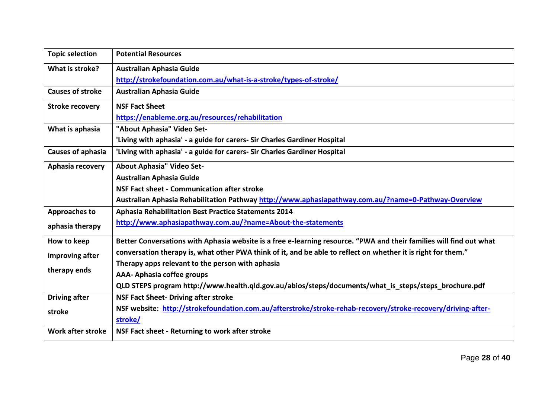| <b>Topic selection</b>   | <b>Potential Resources</b>                                                                                          |
|--------------------------|---------------------------------------------------------------------------------------------------------------------|
| What is stroke?          | <b>Australian Aphasia Guide</b>                                                                                     |
|                          | http://strokefoundation.com.au/what-is-a-stroke/types-of-stroke/                                                    |
| <b>Causes of stroke</b>  | <b>Australian Aphasia Guide</b>                                                                                     |
| <b>Stroke recovery</b>   | <b>NSF Fact Sheet</b>                                                                                               |
|                          | https://enableme.org.au/resources/rehabilitation                                                                    |
| What is aphasia          | "About Aphasia" Video Set-                                                                                          |
|                          | 'Living with aphasia' - a guide for carers- Sir Charles Gardiner Hospital                                           |
| <b>Causes of aphasia</b> | 'Living with aphasia' - a guide for carers- Sir Charles Gardiner Hospital                                           |
| Aphasia recovery         | About Aphasia" Video Set-                                                                                           |
|                          | <b>Australian Aphasia Guide</b>                                                                                     |
|                          | <b>NSF Fact sheet - Communication after stroke</b>                                                                  |
|                          | Australian Aphasia Rehabilitation Pathway http://www.aphasiapathway.com.au/?name=0-Pathway-Overview                 |
| <b>Approaches to</b>     | <b>Aphasia Rehabilitation Best Practice Statements 2014</b>                                                         |
| aphasia therapy          | http://www.aphasiapathway.com.au/?name=About-the-statements                                                         |
| How to keep              | Better Conversations with Aphasia website is a free e-learning resource. "PWA and their families will find out what |
| improving after          | conversation therapy is, what other PWA think of it, and be able to reflect on whether it is right for them."       |
|                          | Therapy apps relevant to the person with aphasia                                                                    |
| therapy ends             | <b>AAA- Aphasia coffee groups</b>                                                                                   |
|                          | QLD STEPS program http://www.health.qld.gov.au/abios/steps/documents/what_is_steps/steps_brochure.pdf               |
| <b>Driving after</b>     | <b>NSF Fact Sheet- Driving after stroke</b>                                                                         |
| stroke                   | NSF website: http://strokefoundation.com.au/afterstroke/stroke-rehab-recovery/stroke-recovery/driving-after-        |
|                          | stroke/                                                                                                             |
| Work after stroke        | NSF Fact sheet - Returning to work after stroke                                                                     |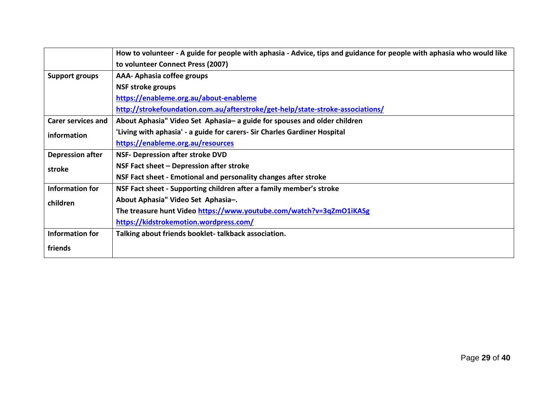|                           | How to volunteer - A guide for people with aphasia - Advice, tips and guidance for people with aphasia who would like |
|---------------------------|-----------------------------------------------------------------------------------------------------------------------|
|                           | to volunteer Connect Press (2007)                                                                                     |
| <b>Support groups</b>     | AAA-Aphasia coffee groups                                                                                             |
|                           | <b>NSF stroke groups</b>                                                                                              |
|                           | https://enableme.org.au/about-enableme                                                                                |
|                           | http://strokefoundation.com.au/afterstroke/get-help/state-stroke-associations/                                        |
| <b>Carer services and</b> | About Aphasia" Video Set Aphasia- a guide for spouses and older children                                              |
| information               | 'Living with aphasia' - a guide for carers- Sir Charles Gardiner Hospital                                             |
|                           | https://enableme.org.au/resources                                                                                     |
| <b>Depression after</b>   | <b>NSF- Depression after stroke DVD</b>                                                                               |
| stroke                    | NSF Fact sheet - Depression after stroke                                                                              |
|                           | NSF Fact sheet - Emotional and personality changes after stroke                                                       |
| <b>Information for</b>    | NSF Fact sheet - Supporting children after a family member's stroke                                                   |
| children                  | About Aphasia" Video Set Aphasia-.                                                                                    |
|                           | The treasure hunt Video https://www.youtube.com/watch?v=3qZmO1iKASg                                                   |
|                           | https://kidstrokemotion.wordpress.com/                                                                                |
| <b>Information for</b>    | Talking about friends booklet-talkback association.                                                                   |
| friends                   |                                                                                                                       |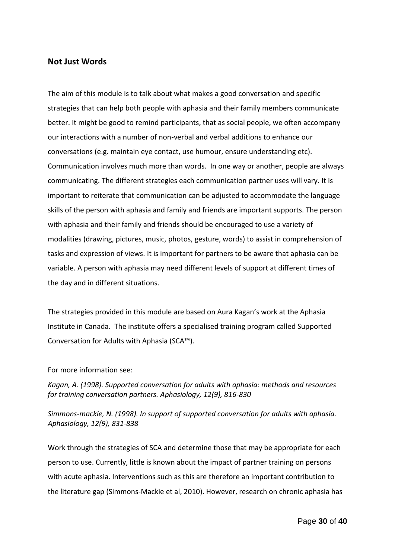#### <span id="page-29-0"></span>**Not Just Words**

The aim of this module is to talk about what makes a good conversation and specific strategies that can help both people with aphasia and their family members communicate better. It might be good to remind participants, that as social people, we often accompany our interactions with a number of non-verbal and verbal additions to enhance our conversations (e.g. maintain eye contact, use humour, ensure understanding etc). Communication involves much more than words. In one way or another, people are always communicating. The different strategies each communication partner uses will vary. It is important to reiterate that communication can be adjusted to accommodate the language skills of the person with aphasia and family and friends are important supports. The person with aphasia and their family and friends should be encouraged to use a variety of modalities (drawing, pictures, music, photos, gesture, words) to assist in comprehension of tasks and expression of views. It is important for partners to be aware that aphasia can be variable. A person with aphasia may need different levels of support at different times of the day and in different situations.

The strategies provided in this module are based on Aura Kagan's work at the Aphasia Institute in Canada. The institute offers a specialised training program called Supported Conversation for Adults with Aphasia (SCA™).

#### For more information see:

*Kagan, A. (1998). Supported conversation for adults with aphasia: methods and resources for training conversation partners. Aphasiology, 12(9), 816-830*

*Simmons-mackie, N. (1998). In support of supported conversation for adults with aphasia. Aphasiology, 12(9), 831-838*

Work through the strategies of SCA and determine those that may be appropriate for each person to use. Currently, little is known about the impact of partner training on persons with acute aphasia. Interventions such as this are therefore an important contribution to the literature gap (Simmons-Mackie et al, 2010). However, research on chronic aphasia has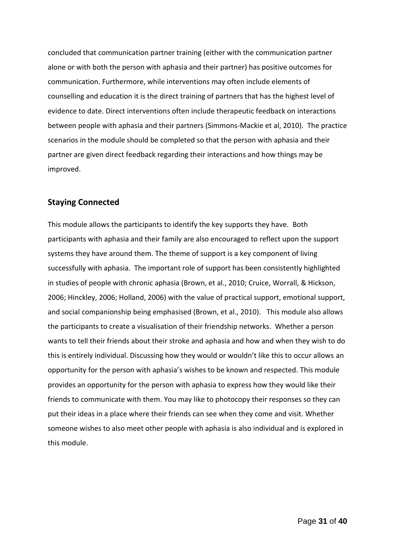concluded that communication partner training (either with the communication partner alone or with both the person with aphasia and their partner) has positive outcomes for communication. Furthermore, while interventions may often include elements of counselling and education it is the direct training of partners that has the highest level of evidence to date. Direct interventions often include therapeutic feedback on interactions between people with aphasia and their partners (Simmons-Mackie et al, 2010). The practice scenarios in the module should be completed so that the person with aphasia and their partner are given direct feedback regarding their interactions and how things may be improved.

### <span id="page-30-0"></span>**Staying Connected**

This module allows the participants to identify the key supports they have. Both participants with aphasia and their family are also encouraged to reflect upon the support systems they have around them. The theme of support is a key component of living successfully with aphasia. The important role of support has been consistently highlighted in studies of people with chronic aphasia (Brown, et al., 2010; Cruice, Worrall, & Hickson, 2006; Hinckley, 2006; Holland, 2006) with the value of practical support, emotional support, and social companionship being emphasised (Brown, et al., 2010). This module also allows the participants to create a visualisation of their friendship networks. Whether a person wants to tell their friends about their stroke and aphasia and how and when they wish to do this is entirely individual. Discussing how they would or wouldn't like this to occur allows an opportunity for the person with aphasia's wishes to be known and respected. This module provides an opportunity for the person with aphasia to express how they would like their friends to communicate with them. You may like to photocopy their responses so they can put their ideas in a place where their friends can see when they come and visit. Whether someone wishes to also meet other people with aphasia is also individual and is explored in this module.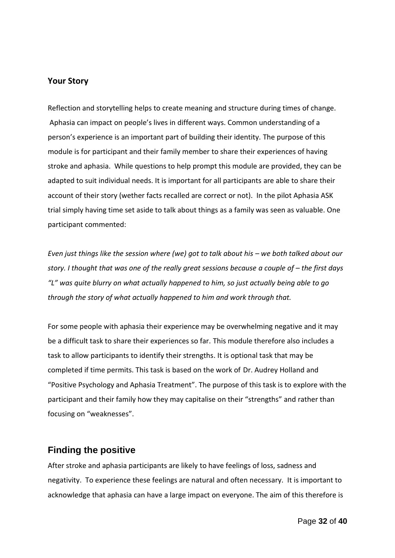## <span id="page-31-0"></span>**Your Story**

Reflection and storytelling helps to create meaning and structure during times of change. Aphasia can impact on people's lives in different ways. Common understanding of a person's experience is an important part of building their identity. The purpose of this module is for participant and their family member to share their experiences of having stroke and aphasia. While questions to help prompt this module are provided, they can be adapted to suit individual needs. It is important for all participants are able to share their account of their story (wether facts recalled are correct or not). In the pilot Aphasia ASK trial simply having time set aside to talk about things as a family was seen as valuable. One participant commented:

*Even just things like the session where (we) got to talk about his - we both talked about our story. I thought that was one of the really great sessions because a couple of – the first days "L" was quite blurry on what actually happened to him, so just actually being able to go through the story of what actually happened to him and work through that.*

For some people with aphasia their experience may be overwhelming negative and it may be a difficult task to share their experiences so far. This module therefore also includes a task to allow participants to identify their strengths. It is optional task that may be completed if time permits. This task is based on the work of Dr. Audrey Holland and "Positive Psychology and Aphasia Treatment". The purpose of this task is to explore with the participant and their family how they may capitalise on their "strengths" and rather than focusing on "weaknesses".

## <span id="page-31-1"></span>**Finding the positive**

After stroke and aphasia participants are likely to have feelings of loss, sadness and negativity. To experience these feelings are natural and often necessary. It is important to acknowledge that aphasia can have a large impact on everyone. The aim of this therefore is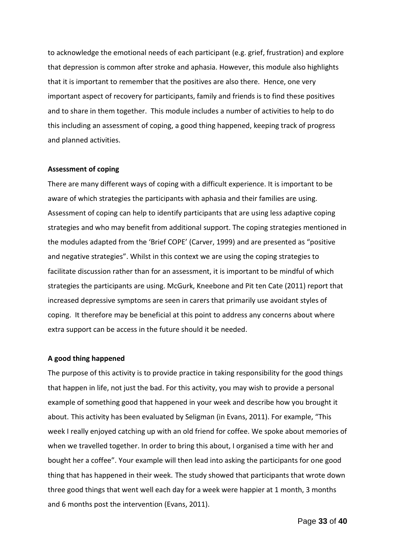to acknowledge the emotional needs of each participant (e.g. grief, frustration) and explore that depression is common after stroke and aphasia. However, this module also highlights that it is important to remember that the positives are also there. Hence, one very important aspect of recovery for participants, family and friends is to find these positives and to share in them together. This module includes a number of activities to help to do this including an assessment of coping, a good thing happened, keeping track of progress and planned activities.

#### **Assessment of coping**

There are many different ways of coping with a difficult experience. It is important to be aware of which strategies the participants with aphasia and their families are using. Assessment of coping can help to identify participants that are using less adaptive coping strategies and who may benefit from additional support. The coping strategies mentioned in the modules adapted from the 'Brief COPE' (Carver, 1999) and are presented as "positive and negative strategies". Whilst in this context we are using the coping strategies to facilitate discussion rather than for an assessment, it is important to be mindful of which strategies the participants are using. McGurk, Kneebone and Pit ten Cate (2011) report that increased depressive symptoms are seen in carers that primarily use avoidant styles of coping. It therefore may be beneficial at this point to address any concerns about where extra support can be access in the future should it be needed.

#### **A good thing happened**

The purpose of this activity is to provide practice in taking responsibility for the good things that happen in life, not just the bad. For this activity, you may wish to provide a personal example of something good that happened in your week and describe how you brought it about. This activity has been evaluated by Seligman (in Evans, 2011). For example, "This week I really enjoyed catching up with an old friend for coffee. We spoke about memories of when we travelled together. In order to bring this about, I organised a time with her and bought her a coffee". Your example will then lead into asking the participants for one good thing that has happened in their week. The study showed that participants that wrote down three good things that went well each day for a week were happier at 1 month, 3 months and 6 months post the intervention (Evans, 2011).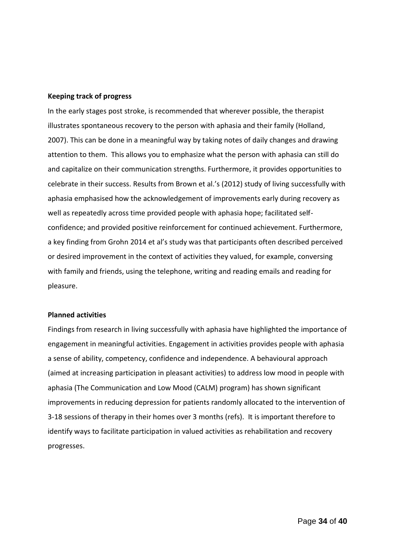#### **Keeping track of progress**

In the early stages post stroke, is recommended that wherever possible, the therapist illustrates spontaneous recovery to the person with aphasia and their family (Holland, 2007). This can be done in a meaningful way by taking notes of daily changes and drawing attention to them. This allows you to emphasize what the person with aphasia can still do and capitalize on their communication strengths. Furthermore, it provides opportunities to celebrate in their success. Results from Brown et al.'s (2012) study of living successfully with aphasia emphasised how the acknowledgement of improvements early during recovery as well as repeatedly across time provided people with aphasia hope; facilitated selfconfidence; and provided positive reinforcement for continued achievement. Furthermore, a key finding from Grohn 2014 et al's study was that participants often described perceived or desired improvement in the context of activities they valued, for example, conversing with family and friends, using the telephone, writing and reading emails and reading for pleasure.

#### **Planned activities**

Findings from research in living successfully with aphasia have highlighted the importance of engagement in meaningful activities. Engagement in activities provides people with aphasia a sense of ability, competency, confidence and independence. A behavioural approach (aimed at increasing participation in pleasant activities) to address low mood in people with aphasia (The Communication and Low Mood (CALM) program) has shown significant improvements in reducing depression for patients randomly allocated to the intervention of 3-18 sessions of therapy in their homes over 3 months (refs). It is important therefore to identify ways to facilitate participation in valued activities as rehabilitation and recovery progresses.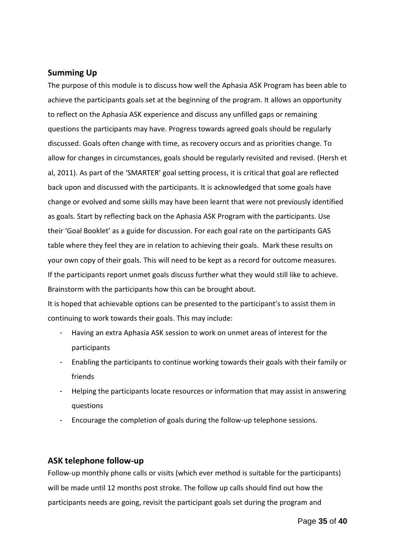## <span id="page-34-0"></span>**Summing Up**

The purpose of this module is to discuss how well the Aphasia ASK Program has been able to achieve the participants goals set at the beginning of the program. It allows an opportunity to reflect on the Aphasia ASK experience and discuss any unfilled gaps or remaining questions the participants may have. Progress towards agreed goals should be regularly discussed. Goals often change with time, as recovery occurs and as priorities change. To allow for changes in circumstances, goals should be regularly revisited and revised. (Hersh et al, 2011). As part of the 'SMARTER' goal setting process, it is critical that goal are reflected back upon and discussed with the participants. It is acknowledged that some goals have change or evolved and some skills may have been learnt that were not previously identified as goals. Start by reflecting back on the Aphasia ASK Program with the participants. Use their 'Goal Booklet' as a guide for discussion. For each goal rate on the participants GAS table where they feel they are in relation to achieving their goals. Mark these results on your own copy of their goals. This will need to be kept as a record for outcome measures. If the participants report unmet goals discuss further what they would still like to achieve. Brainstorm with the participants how this can be brought about.

It is hoped that achievable options can be presented to the participant's to assist them in continuing to work towards their goals. This may include:

- Having an extra Aphasia ASK session to work on unmet areas of interest for the participants
- Enabling the participants to continue working towards their goals with their family or friends
- Helping the participants locate resources or information that may assist in answering questions
- Encourage the completion of goals during the follow-up telephone sessions.

## <span id="page-34-1"></span>**ASK telephone follow-up**

Follow-up monthly phone calls or visits (which ever method is suitable for the participants) will be made until 12 months post stroke. The follow up calls should find out how the participants needs are going, revisit the participant goals set during the program and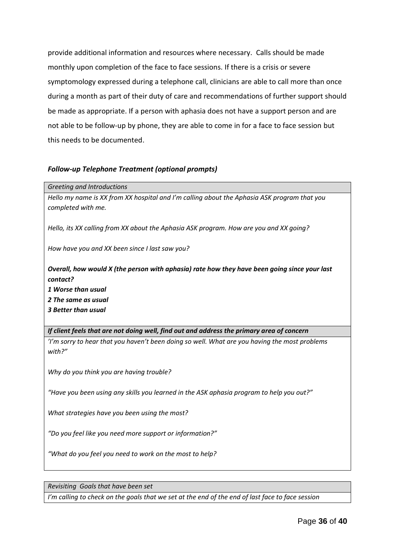provide additional information and resources where necessary. Calls should be made monthly upon completion of the face to face sessions. If there is a crisis or severe symptomology expressed during a telephone call, clinicians are able to call more than once during a month as part of their duty of care and recommendations of further support should be made as appropriate. If a person with aphasia does not have a support person and are not able to be follow-up by phone, they are able to come in for a face to face session but this needs to be documented.

#### *Follow-up Telephone Treatment (optional prompts)*

#### *Greeting and Introductions*

*Hello my name is XX from XX hospital and I'm calling about the Aphasia ASK program that you completed with me.* 

*Hello, its XX calling from XX about the Aphasia ASK program. How are you and XX going?*

*How have you and XX been since I last saw you?*

## *Overall, how would X (the person with aphasia) rate how they have been going since your last contact?*

*1 Worse than usual*

*2 The same as usual*

*3 Better than usual*

*If client feels that are not doing well, find out and address the primary area of concern 'I'm sorry to hear that you haven't been doing so well. What are you having the most problems with?"* 

*Why do you think you are having trouble?*

*"Have you been using any skills you learned in the ASK aphasia program to help you out?"*

*What strategies have you been using the most?*

*"Do you feel like you need more support or information?"*

*"What do you feel you need to work on the most to help?* 

*Revisiting Goals that have been set* 

*I'm calling to check on the goals that we set at the end of the end of last face to face session*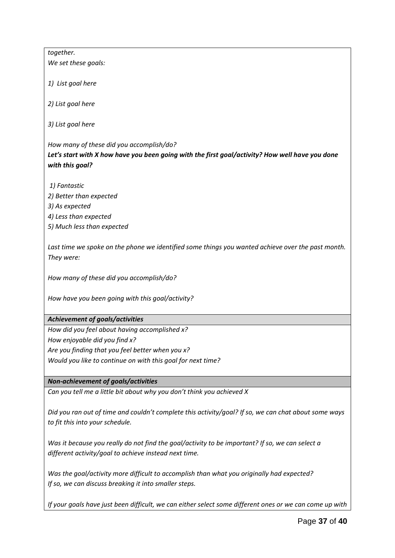*together.*

*We set these goals:*

*1) List goal here* 

*2) List goal here*

*3) List goal here*

*How many of these did you accomplish/do? Let's start with X how have you been going with the first goal/activity? How well have you done with this goal?*

*1) Fantastic*

- *2) Better than expected*
- *3) As expected*
- *4) Less than expected*
- *5) Much less than expected*

*Last time we spoke on the phone we identified some things you wanted achieve over the past month. They were:*

*How many of these did you accomplish/do?*

*How have you been going with this goal/activity?*

#### *Achievement of goals/activities*

*How did you feel about having accomplished x? How enjoyable did you find x? Are you finding that you feel better when you x? Would you like to continue on with this goal for next time?*

## *Non-achievement of goals/activities*

*Can you tell me a little bit about why you don't think you achieved X* 

*Did you ran out of time and couldn't complete this activity/goal? If so, we can chat about some ways to fit this into your schedule.*

*Was it because you really do not find the goal/activity to be important? If so, we can select a different activity/goal to achieve instead next time.*

*Was the goal/activity more difficult to accomplish than what you originally had expected? If so, we can discuss breaking it into smaller steps.* 

*If your goals have just been difficult, we can either select some different ones or we can come up with*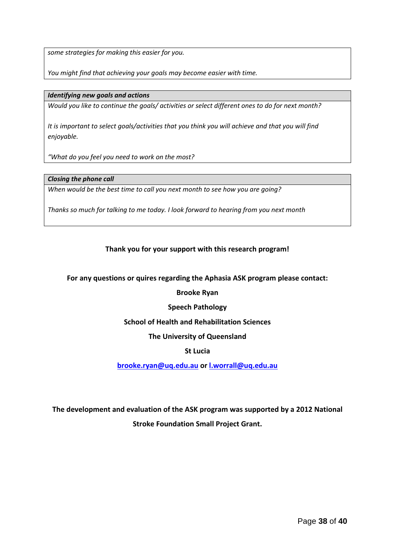*some strategies for making this easier for you.*

*You might find that achieving your goals may become easier with time.*

#### *Identifying new goals and actions*

*Would you like to continue the goals/ activities or select different ones to do for next month?* 

*It is important to select goals/activities that you think you will achieve and that you will find enjoyable.* 

*"What do you feel you need to work on the most?* 

#### *Closing the phone call*

*When would be the best time to call you next month to see how you are going?*

*Thanks so much for talking to me today. I look forward to hearing from you next month*

#### **Thank you for your support with this research program!**

**For any questions or quires regarding the Aphasia ASK program please contact:** 

#### **Brooke Ryan**

#### **Speech Pathology**

#### **School of Health and Rehabilitation Sciences**

**The University of Queensland**

#### **St Lucia**

**[brooke.ryan@uq.edu.au](mailto:brooke.ryan@uq.edu.au) or [l.worrall@uq.edu.au](mailto:l.worrall@uq.edu.au)**

**The development and evaluation of the ASK program was supported by a 2012 National Stroke Foundation Small Project Grant.**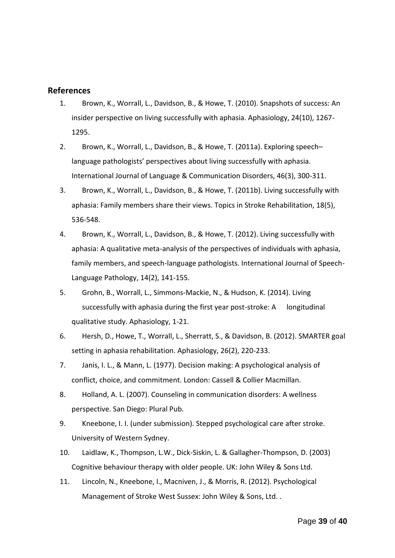## <span id="page-38-0"></span>**References**

- 1. Brown, K., Worrall, L., Davidson, B., & Howe, T. (2010). Snapshots of success: An insider perspective on living successfully with aphasia. Aphasiology, 24(10), 1267- 1295.
- 2. Brown, K., Worrall, L., Davidson, B., & Howe, T. (2011a). Exploring speech– language pathologists' perspectives about living successfully with aphasia. International Journal of Language & Communication Disorders, 46(3), 300-311.
- 3. Brown, K., Worrall, L., Davidson, B., & Howe, T. (2011b). Living successfully with aphasia: Family members share their views. Topics in Stroke Rehabilitation, 18(5), 536-548.
- 4. Brown, K., Worrall, L., Davidson, B., & Howe, T. (2012). Living successfully with aphasia: A qualitative meta-analysis of the perspectives of individuals with aphasia, family members, and speech-language pathologists. International Journal of Speech-Language Pathology, 14(2), 141-155.
- 5. Grohn, B., Worrall, L., Simmons-Mackie, N., & Hudson, K. (2014). Living successfully with aphasia during the first year post-stroke: A longitudinal qualitative study. Aphasiology, 1-21.
- 6. Hersh, D., Howe, T., Worrall, L., Sherratt, S., & Davidson, B. (2012). SMARTER goal setting in aphasia rehabilitation. Aphasiology, 26(2), 220-233.
- 7. Janis, I. L., & Mann, L. (1977). Decision making: A psychological analysis of conflict, choice, and commitment. London: Cassell & Collier Macmillan.
- 8. Holland, A. L. (2007). Counseling in communication disorders: A wellness perspective. San Diego: Plural Pub.
- 9. Kneebone, I. I. (under submission). Stepped psychological care after stroke. University of Western Sydney.
- 10. Laidlaw, K., Thompson, L.W., Dick-Siskin, L. & Gallagher-Thompson, D. (2003) Cognitive behaviour therapy with older people. UK: John Wiley & Sons Ltd.
- 11. Lincoln, N., Kneebone, I., Macniven, J., & Morris, R. (2012). Psychological Management of Stroke West Sussex: John Wiley & Sons, Ltd. .